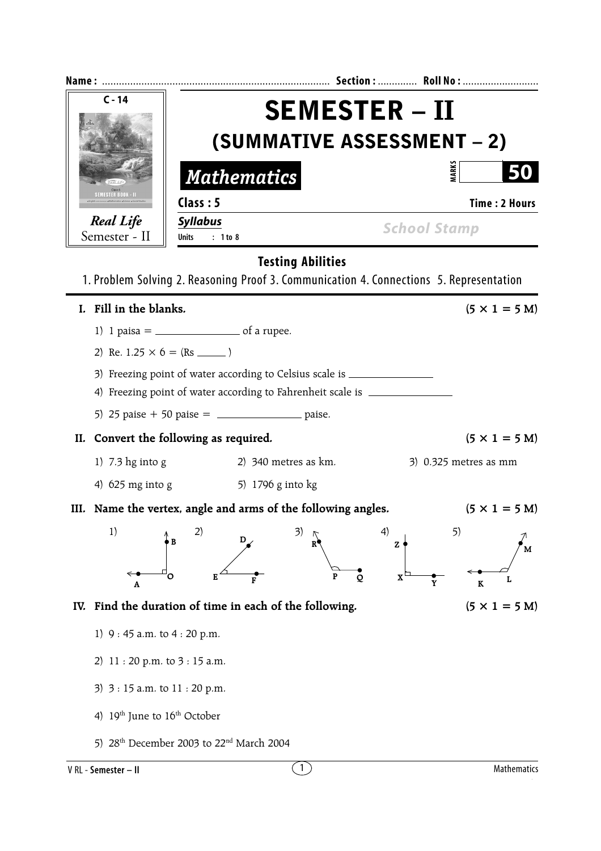| $C - 14$                          |                                                                                         | <b>SEMESTER – II</b> |                              |                              |  |  |  |  |  |  |  |
|-----------------------------------|-----------------------------------------------------------------------------------------|----------------------|------------------------------|------------------------------|--|--|--|--|--|--|--|
|                                   | <b>(SUMMATIVE ASSESSMENT – 2)</b>                                                       |                      |                              |                              |  |  |  |  |  |  |  |
|                                   | <b>Mathematics</b>                                                                      |                      | <b>MARKS</b>                 |                              |  |  |  |  |  |  |  |
| <b>MESTER BOOK -</b>              | Class: 5                                                                                |                      | <b>Time: 2 Hours</b>         |                              |  |  |  |  |  |  |  |
| <b>Real Life</b><br>Semester - II | <b>Syllabus</b><br>: 1 to 8<br><b>Units</b>                                             |                      | <b>School Stamp</b>          |                              |  |  |  |  |  |  |  |
| <b>Testing Abilities</b>          |                                                                                         |                      |                              |                              |  |  |  |  |  |  |  |
|                                   | 1. Problem Solving 2. Reasoning Proof 3. Communication 4. Connections 5. Representation |                      |                              |                              |  |  |  |  |  |  |  |
| I. Fill in the blanks.            |                                                                                         |                      |                              | $(5 \times 1 = 5 M)$         |  |  |  |  |  |  |  |
|                                   | 1) 1 paisa = $\frac{1}{2}$ of a rupee.                                                  |                      |                              |                              |  |  |  |  |  |  |  |
|                                   | 2) Re. $1.25 \times 6 = (Rs \_ )$                                                       |                      |                              |                              |  |  |  |  |  |  |  |
|                                   | 3) Freezing point of water according to Celsius scale is _______________________        |                      |                              |                              |  |  |  |  |  |  |  |
|                                   | 4) Freezing point of water according to Fahrenheit scale is __________                  |                      |                              |                              |  |  |  |  |  |  |  |
|                                   | 5) 25 paise + 50 paise = $\frac{1}{2}$ paise.                                           |                      |                              |                              |  |  |  |  |  |  |  |
|                                   | II. Convert the following as required.                                                  |                      |                              | $(5 \times 1 = 5 \text{ M})$ |  |  |  |  |  |  |  |
| 1) $7.3 \text{ hg}$ into g        | 2) $340$ metres as $km$ .                                                               |                      |                              | $3)$ 0.325 metres as mm      |  |  |  |  |  |  |  |
| 4) $625$ mg into g                | 5) 1796 g into kg                                                                       |                      |                              |                              |  |  |  |  |  |  |  |
|                                   | III. Name the vertex, angle and arms of the following angles.                           |                      |                              | $(5 \times 1 = 5 M)$         |  |  |  |  |  |  |  |
| 1)                                | 3)<br>2)<br>D<br>в<br>O<br>Е<br>F                                                       | R<br>P<br>Q          | 4)<br>5)<br>Z<br>$\mathbf X$ | м                            |  |  |  |  |  |  |  |
| A                                 |                                                                                         |                      | Y                            | K                            |  |  |  |  |  |  |  |
| IV.                               | Find the duration of time in each of the following.                                     |                      |                              | $(5 \times 1 = 5 M)$         |  |  |  |  |  |  |  |
| 1) 9:45 a.m. to 4:20 p.m.         |                                                                                         |                      |                              |                              |  |  |  |  |  |  |  |
| 2)                                | 11:20 p.m. to 3:15 a.m.                                                                 |                      |                              |                              |  |  |  |  |  |  |  |
| 3) 3 : 15 a.m. to 11 : 20 p.m.    |                                                                                         |                      |                              |                              |  |  |  |  |  |  |  |
| 4)                                | 19 <sup>th</sup> June to 16 <sup>th</sup> October                                       |                      |                              |                              |  |  |  |  |  |  |  |
| 5)                                | 28 <sup>th</sup> December 2003 to 22 <sup>nd</sup> March 2004                           |                      |                              |                              |  |  |  |  |  |  |  |